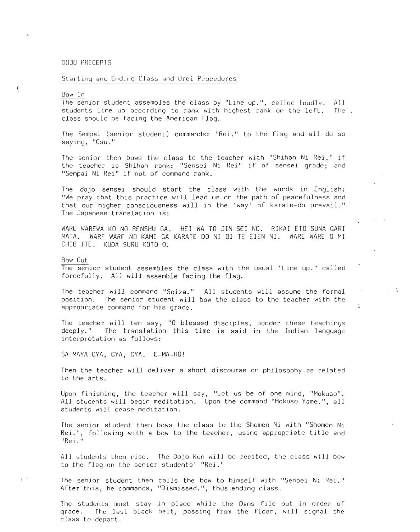## DOJO PRECEPTS

## Starting and Ending Class and Orei Procedures

## Bow In

The senior student assembles the class by "Line up.", called loudly. All students line up according to rank with highest rank on the left. The class should be facing the American Flag.

The Sempai (senior student) commands: "Rei." to the flag and all do so saying, "Osu."

The senior then bows the class to the teacher with "Shihan Ni Rei." if the teacher is Shihan rank; "Sensei Ni Rei" if of sensei grade; and "Sempai Ni Rei" if not of command rank.

The dojo sensei should start the class with the words in English: "We pray that this practice will lead us on the path of peacefulness and that our higher consciousness will in the 'way' of karate-do prevail." The Japanese translation *is:*

WARE WAREWA KO NO RENSHU GA. HEI WA TO JIN SEI NO. RIKAI ETO SUNA GARI MATA. WARE WARE NO KAMI GA KARATE DO NIDI TE EIEN NI. WARE WARE 0 MI CHIB ITE. KUDA SURU KOTO O.

Bow Out

 $1 - \frac{1}{2}$ 

The senior student assembles the class with the usual "line up." called forcefully. All will assemble facing the flag.

The teacher will command "Seiza." All students will assume the formal position. The senior student will bow the class to the teacher with the appropriate command for his grade.

 $\mathbf{L}$ 

The teacher will ten say, "0 blessed disciples, ponder these teachings deeply." The translation this *time is* said in the Indian language interpretation as follows:

SA MAYA GYA, GYA, GYA. E-MA-HO!

Then the teacher will deliver a short discourse on philosophy as related to the arts.

Upon finishing, the teacher will say, "let us be of one mind, "Mokuso". All students will begin meditation. Upon the command "Mokuso Yame.", all students will cease meditation.

The senior student then bows the class to the Shomen Ni with "Shomen Ni Rei.", following with <sup>a</sup> bow to the teacher, using appropriate title and "Rei."

All students then rise. The Dojo Kun will be recited, the class will bow to the flag on the senior students' "Rei."

The senior student then calls the bow to himself with "Senpei Ni Rei." After this, he commands, "Dismissed.", thus ending class.

The students must stay in place while the Dans file out in order of grade. The last black belt, passing from the floor, will signal the class to depart.